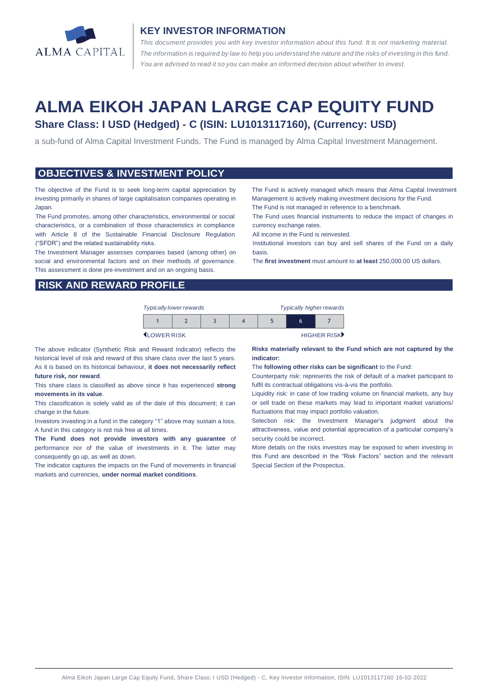

#### **KEY INVESTOR INFORMATION**

*This document provides you with key investor information about this fund. It is not marketing material.*  The information is required by law to help you understand the nature and the risks of investing in this fund. *You are advised to read it so you can make an informed decision about whether to invest.*

# **ALMA EIKOH JAPAN LARGE CAP EQUITY FUND Share Class: I USD (Hedged) - C (ISIN: LU1013117160), (Currency: USD)**

a sub-fund of Alma Capital Investment Funds. The Fund is managed by Alma Capital Investment Management.

#### **OBJECTIVES & INVESTMENT POLICY**

The objective of the Fund is to seek long-term capital appreciation by investing primarily in shares of large capitalisation companies operating in Japan.

The Fund promotes, among other characteristics, environmental or social characteristics, or a combination of those characteristics in compliance with Article 8 of the Sustainable Financial Disclosure Regulation ("SFDR") and the related sustainability risks.

The Investment Manager assesses companies based (among other) on social and environmental factors and on their methods of governance. This assessment is done pre-investment and on an ongoing basis.

The Fund is actively managed which means that Alma Capital Investment Management is actively making investment decisions for the Fund. The Fund is not managed in reference to a benchmark.

The Fund uses financial instruments to reduce the impact of changes in currency exchange rates.

All income in the Fund is reinvested.

Institutional investors can buy and sell shares of the Fund on a daily basis.

The **first investment** must amount to **at least** 250,000.00 US dollars.

## **RISK AND REWARD PROFILE**

| <b>Typically lower rewards</b> |  |  |  | <b>Typically higher rewards</b> |  |  |
|--------------------------------|--|--|--|---------------------------------|--|--|
|                                |  |  |  |                                 |  |  |

**ILOWER RISK HIGHER RISK** 

The above indicator (Synthetic Risk and Reward Indicator) reflects the historical level of risk and reward of this share class over the last 5 years. As it is based on its historical behaviour, **it does not necessarily reflect future risk, nor reward**.

This share class is classified as above since it has experienced **strong movements in its value**.

This classification is solely valid as of the date of this document; it can change in the future.

Investors investing in a fund in the category "1" above may sustain a loss. A fund in this category is not risk free at all times.

**The Fund does not provide investors with any guarantee** of performance nor of the value of investments in it. The latter may consequently go up, as well as down.

The indicator captures the impacts on the Fund of movements in financial markets and currencies, **under normal market conditions**.

**Risks materially relevant to the Fund which are not captured by the indicator:** 

The **following other risks can be significant** to the Fund:

Counterparty risk: represents the risk of default of a market participant to fulfil its contractual obligations vis-à-vis the portfolio.

Liquidity risk: in case of low trading volume on financial markets, any buy or sell trade on these markets may lead to important market variations/ fluctuations that may impact portfolio valuation.

Selection risk: the Investment Manager's judgment about the attractiveness, value and potential appreciation of a particular company's security could be incorrect.

More details on the risks investors may be exposed to when investing in this Fund are described in the "Risk Factors" section and the relevant Special Section of the Prospectus.